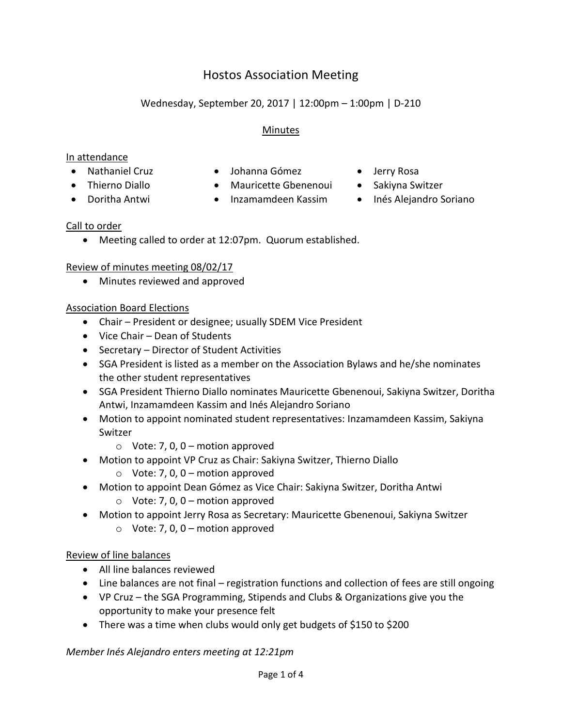# Hostos Association Meeting

# Wednesday, September 20, 2017 | 12:00pm – 1:00pm | D-210

#### Minutes

#### In attendance

- 
- Nathaniel Cruz Johanna Gómez Jerry Rosa
- -
- Doritha Antwi Inzamamdeen Kassim Inés Alejandro Soriano
- 
- 
- Thierno Diallo Mauricette Gbenenoui Sakiyna Switzer
	-

## Call to order

Meeting called to order at 12:07pm. Quorum established.

## Review of minutes meeting 08/02/17

Minutes reviewed and approved

## Association Board Elections

- Chair President or designee; usually SDEM Vice President
- Vice Chair Dean of Students
- Secretary Director of Student Activities
- SGA President is listed as a member on the Association Bylaws and he/she nominates the other student representatives
- SGA President Thierno Diallo nominates Mauricette Gbenenoui, Sakiyna Switzer, Doritha Antwi, Inzamamdeen Kassim and Inés Alejandro Soriano
- Motion to appoint nominated student representatives: Inzamamdeen Kassim, Sakiyna Switzer
	- $\circ$  Vote: 7, 0, 0 motion approved
- Motion to appoint VP Cruz as Chair: Sakiyna Switzer, Thierno Diallo
	- $\circ$  Vote: 7, 0, 0 motion approved
- Motion to appoint Dean Gómez as Vice Chair: Sakiyna Switzer, Doritha Antwi
	- $\circ$  Vote: 7, 0, 0 motion approved
- Motion to appoint Jerry Rosa as Secretary: Mauricette Gbenenoui, Sakiyna Switzer
	- $\circ$  Vote: 7, 0, 0 motion approved

## Review of line balances

- All line balances reviewed
- Line balances are not final registration functions and collection of fees are still ongoing
- VP Cruz the SGA Programming, Stipends and Clubs & Organizations give you the opportunity to make your presence felt
- There was a time when clubs would only get budgets of \$150 to \$200

*Member Inés Alejandro enters meeting at 12:21pm*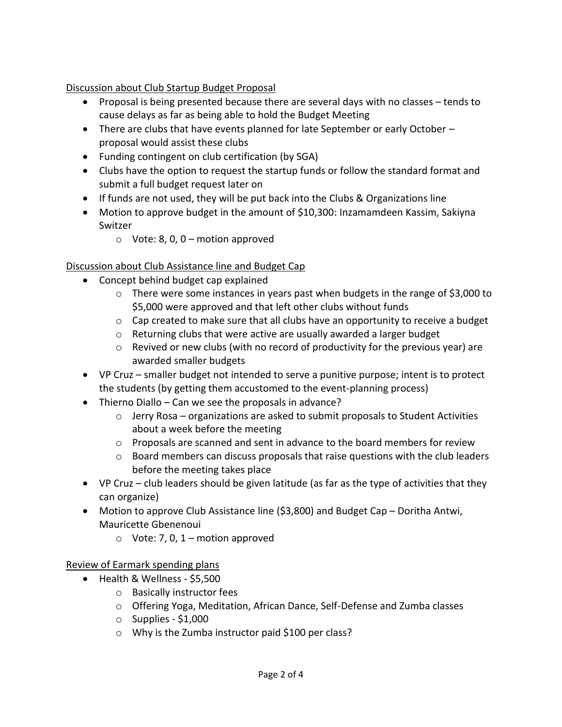Discussion about Club Startup Budget Proposal

- Proposal is being presented because there are several days with no classes tends to cause delays as far as being able to hold the Budget Meeting
- There are clubs that have events planned for late September or early October proposal would assist these clubs
- Funding contingent on club certification (by SGA)
- Clubs have the option to request the startup funds or follow the standard format and submit a full budget request later on
- If funds are not used, they will be put back into the Clubs & Organizations line
- Motion to approve budget in the amount of \$10,300: Inzamamdeen Kassim, Sakiyna Switzer
	- $\circ$  Vote: 8, 0, 0 motion approved

### Discussion about Club Assistance line and Budget Cap

- Concept behind budget cap explained
	- $\circ$  There were some instances in years past when budgets in the range of \$3,000 to \$5,000 were approved and that left other clubs without funds
	- $\circ$  Cap created to make sure that all clubs have an opportunity to receive a budget
	- o Returning clubs that were active are usually awarded a larger budget
	- o Revived or new clubs (with no record of productivity for the previous year) are awarded smaller budgets
- VP Cruz smaller budget not intended to serve a punitive purpose; intent is to protect the students (by getting them accustomed to the event-planning process)
- Thierno Diallo Can we see the proposals in advance?
	- $\circ$  Jerry Rosa organizations are asked to submit proposals to Student Activities about a week before the meeting
	- $\circ$  Proposals are scanned and sent in advance to the board members for review
	- o Board members can discuss proposals that raise questions with the club leaders before the meeting takes place
- VP Cruz club leaders should be given latitude (as far as the type of activities that they can organize)
- Motion to approve Club Assistance line (\$3,800) and Budget Cap Doritha Antwi, Mauricette Gbenenoui
	- $\circ$  Vote: 7, 0, 1 motion approved

Review of Earmark spending plans

- Health & Wellness \$5,500
	- o Basically instructor fees
	- o Offering Yoga, Meditation, African Dance, Self-Defense and Zumba classes
	- $\circ$  Supplies \$1,000
	- o Why is the Zumba instructor paid \$100 per class?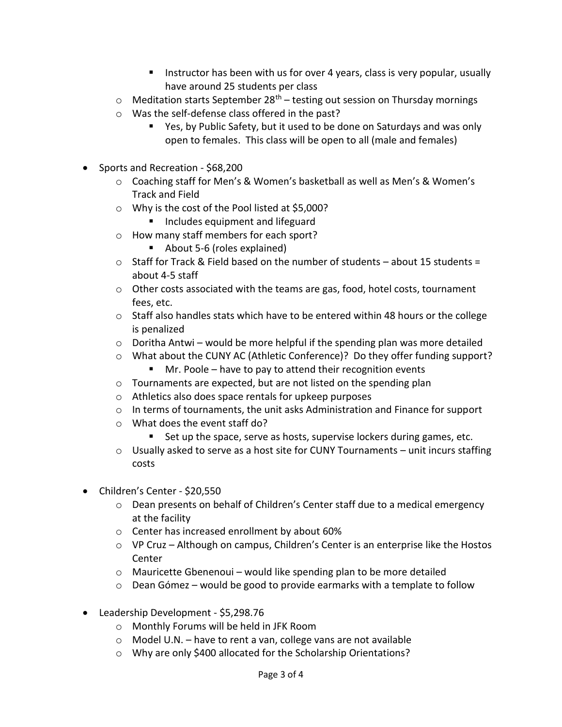- Instructor has been with us for over 4 years, class is very popular, usually have around 25 students per class
- $\circ$  Meditation starts September 28<sup>th</sup> testing out session on Thursday mornings
- o Was the self-defense class offered in the past?
	- Yes, by Public Safety, but it used to be done on Saturdays and was only open to females. This class will be open to all (male and females)
- Sports and Recreation \$68,200
	- o Coaching staff for Men's & Women's basketball as well as Men's & Women's Track and Field
	- o Why is the cost of the Pool listed at \$5,000?
		- **Includes equipment and lifeguard**
	- o How many staff members for each sport?
		- About 5-6 (roles explained)
	- $\circ$  Staff for Track & Field based on the number of students about 15 students = about 4-5 staff
	- $\circ$  Other costs associated with the teams are gas, food, hotel costs, tournament fees, etc.
	- o Staff also handles stats which have to be entered within 48 hours or the college is penalized
	- o Doritha Antwi would be more helpful if the spending plan was more detailed
	- o What about the CUNY AC (Athletic Conference)? Do they offer funding support?
		- $\blacksquare$  Mr. Poole have to pay to attend their recognition events
	- o Tournaments are expected, but are not listed on the spending plan
	- o Athletics also does space rentals for upkeep purposes
	- $\circ$  In terms of tournaments, the unit asks Administration and Finance for support
	- o What does the event staff do?
		- Set up the space, serve as hosts, supervise lockers during games, etc.
	- $\circ$  Usually asked to serve as a host site for CUNY Tournaments unit incurs staffing costs
- Children's Center \$20,550
	- o Dean presents on behalf of Children's Center staff due to a medical emergency at the facility
	- o Center has increased enrollment by about 60%
	- o VP Cruz Although on campus, Children's Center is an enterprise like the Hostos Center
	- $\circ$  Mauricette Gbenenoui would like spending plan to be more detailed
	- o Dean Gómez would be good to provide earmarks with a template to follow
- Leadership Development \$5,298.76
	- o Monthly Forums will be held in JFK Room
	- o Model U.N. have to rent a van, college vans are not available
	- o Why are only \$400 allocated for the Scholarship Orientations?